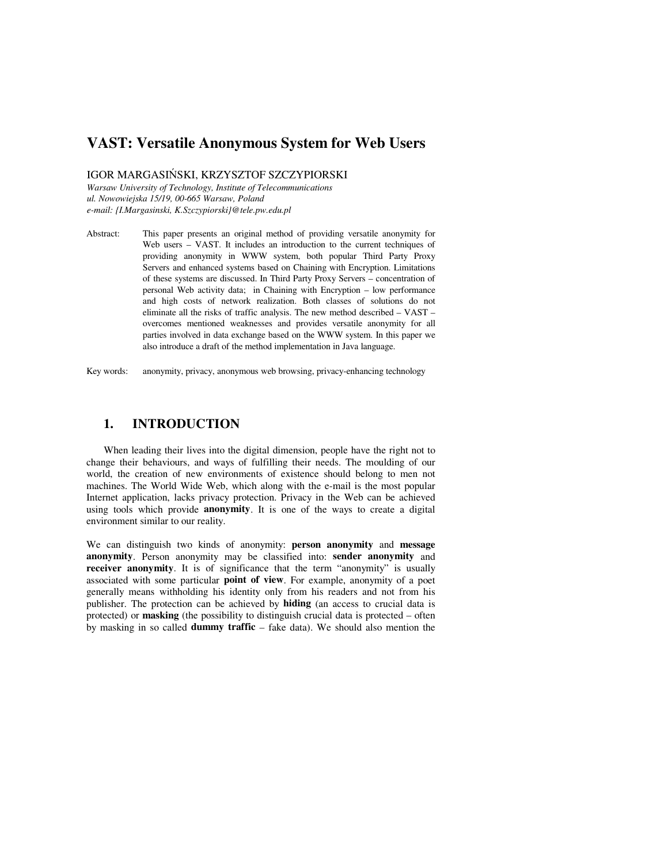# **VAST: Versatile Anonymous System for Web Users**

IGOR MARGASIŃSKI, KRZYSZTOF SZCZYPIORSKI

*Warsaw University of Technology, Institute of Telecommunications ul. Nowowiejska 15/19, 00-665 Warsaw, Poland e-mail: {I.Margasinski, K.Szczypiorski}@tele.pw.edu.pl*

Abstract: This paper presents an original method of providing versatile anonymity for Web users – VAST. It includes an introduction to the current techniques of providing anonymity in WWW system, both popular Third Party Proxy Servers and enhanced systems based on Chaining with Encryption. Limitations of these systems are discussed. In Third Party Proxy Servers – concentration of personal Web activity data; in Chaining with Encryption – low performance and high costs of network realization. Both classes of solutions do not eliminate all the risks of traffic analysis. The new method described – VAST – overcomes mentioned weaknesses and provides versatile anonymity for all parties involved in data exchange based on the WWW system. In this paper we also introduce a draft of the method implementation in Java language.

Key words: anonymity, privacy, anonymous web browsing, privacy-enhancing technology

### **1. INTRODUCTION**

When leading their lives into the digital dimension, people have the right not to change their behaviours, and ways of fulfilling their needs. The moulding of our world, the creation of new environments of existence should belong to men not machines. The World Wide Web, which along with the e-mail is the most popular Internet application, lacks privacy protection. Privacy in the Web can be achieved using tools which provide **anonymity**. It is one of the ways to create a digital environment similar to our reality.

We can distinguish two kinds of anonymity: **person anonymity** and **message anonymity**. Person anonymity may be classified into: **sender anonymity** and **receiver anonymity**. It is of significance that the term "anonymity" is usually associated with some particular **point of view**. For example, anonymity of a poet generally means withholding his identity only from his readers and not from his publisher. The protection can be achieved by **hiding** (an access to crucial data is protected) or **masking** (the possibility to distinguish crucial data is protected – often by masking in so called **dummy traffic** – fake data). We should also mention the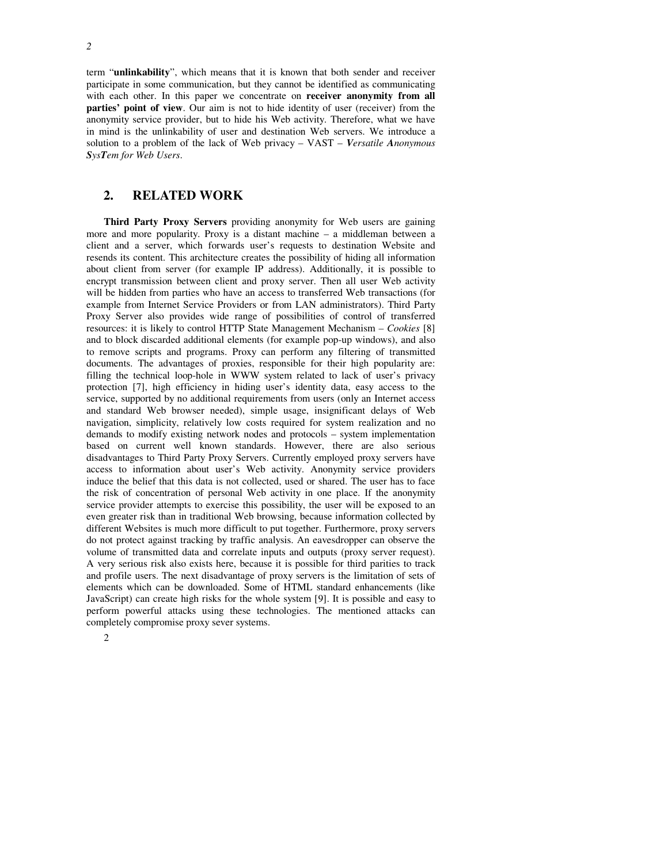term "**unlinkability**", which means that it is known that both sender and receiver participate in some communication, but they cannot be identified as communicating with each other. In this paper we concentrate on **receiver anonymity from all parties' point of view**. Our aim is not to hide identity of user (receiver) from the anonymity service provider, but to hide his Web activity. Therefore, what we have in mind is the unlinkability of user and destination Web servers. We introduce a solution to a problem of the lack of Web privacy – VAST – *Versatile Anonymous SysTem for Web Users*.

### **2. RELATED WORK**

**Third Party Proxy Servers** providing anonymity for Web users are gaining more and more popularity. Proxy is a distant machine – a middleman between a client and a server, which forwards user's requests to destination Website and resends its content. This architecture creates the possibility of hiding all information about client from server (for example IP address). Additionally, it is possible to encrypt transmission between client and proxy server. Then all user Web activity will be hidden from parties who have an access to transferred Web transactions (for example from Internet Service Providers or from LAN administrators). Third Party Proxy Server also provides wide range of possibilities of control of transferred resources: it is likely to control HTTP State Management Mechanism *– Cookies* [8] and to block discarded additional elements (for example pop-up windows), and also to remove scripts and programs. Proxy can perform any filtering of transmitted documents. The advantages of proxies, responsible for their high popularity are: filling the technical loop-hole in WWW system related to lack of user's privacy protection [7], high efficiency in hiding user's identity data, easy access to the service, supported by no additional requirements from users (only an Internet access and standard Web browser needed), simple usage, insignificant delays of Web navigation, simplicity, relatively low costs required for system realization and no demands to modify existing network nodes and protocols – system implementation based on current well known standards. However, there are also serious disadvantages to Third Party Proxy Servers. Currently employed proxy servers have access to information about user's Web activity. Anonymity service providers induce the belief that this data is not collected, used or shared. The user has to face the risk of concentration of personal Web activity in one place. If the anonymity service provider attempts to exercise this possibility, the user will be exposed to an even greater risk than in traditional Web browsing, because information collected by different Websites is much more difficult to put together. Furthermore, proxy servers do not protect against tracking by traffic analysis. An eavesdropper can observe the volume of transmitted data and correlate inputs and outputs (proxy server request). A very serious risk also exists here, because it is possible for third parities to track and profile users. The next disadvantage of proxy servers is the limitation of sets of elements which can be downloaded. Some of HTML standard enhancements (like JavaScript) can create high risks for the whole system [9]. It is possible and easy to perform powerful attacks using these technologies. The mentioned attacks can completely compromise proxy sever systems.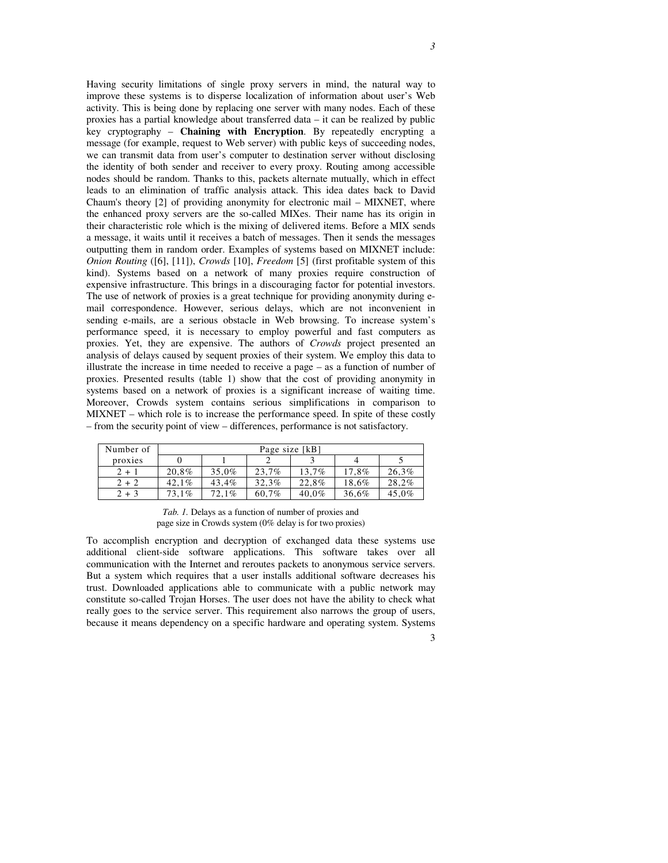Having security limitations of single proxy servers in mind, the natural way to improve these systems is to disperse localization of information about user's Web activity. This is being done by replacing one server with many nodes. Each of these proxies has a partial knowledge about transferred data – it can be realized by public key cryptography – **Chaining with Encryption**. By repeatedly encrypting a message (for example, request to Web server) with public keys of succeeding nodes, we can transmit data from user's computer to destination server without disclosing the identity of both sender and receiver to every proxy. Routing among accessible nodes should be random. Thanks to this, packets alternate mutually, which in effect leads to an elimination of traffic analysis attack. This idea dates back to David Chaum's theory [2] of providing anonymity for electronic mail – MIXNET, where the enhanced proxy servers are the so-called MIXes. Their name has its origin in their characteristic role which is the mixing of delivered items. Before a MIX sends a message, it waits until it receives a batch of messages. Then it sends the messages outputting them in random order. Examples of systems based on MIXNET include: *Onion Routing* ([6], [11]), *Crowds* [10], *Freedom* [5] (first profitable system of this kind). Systems based on a network of many proxies require construction of expensive infrastructure. This brings in a discouraging factor for potential investors. The use of network of proxies is a great technique for providing anonymity during email correspondence. However, serious delays, which are not inconvenient in sending e-mails, are a serious obstacle in Web browsing. To increase system's performance speed, it is necessary to employ powerful and fast computers as proxies. Yet, they are expensive. The authors of *Crowds* project presented an analysis of delays caused by sequent proxies of their system. We employ this data to illustrate the increase in time needed to receive a page – as a function of number of proxies. Presented results (table 1) show that the cost of providing anonymity in systems based on a network of proxies is a significant increase of waiting time. Moreover, Crowds system contains serious simplifications in comparison to MIXNET – which role is to increase the performance speed. In spite of these costly – from the security point of view – differences, performance is not satisfactory.

| Number of | Page size [kB] |          |       |       |       |       |  |  |  |  |  |  |  |
|-----------|----------------|----------|-------|-------|-------|-------|--|--|--|--|--|--|--|
| proxies   |                |          |       |       |       |       |  |  |  |  |  |  |  |
| $2 + 1$   | 20.8%          | 35.0%    | 23.7% | 13.7% | 17.8% | 26,3% |  |  |  |  |  |  |  |
| $2 + 2$   | 42.1%          | 43.4%    | 32.3% | 22,8% | 18.6% | 28.2% |  |  |  |  |  |  |  |
| $2 + 3$   | 73.1%          | $72.1\%$ | 60.7% | 40.0% | 36,6% | 45.0% |  |  |  |  |  |  |  |

*Tab. 1.* Delays as a function of number of proxies and page size in Crowds system (0% delay is for two proxies)

To accomplish encryption and decryption of exchanged data these systems use additional client-side software applications. This software takes over all communication with the Internet and reroutes packets to anonymous service servers. But a system which requires that a user installs additional software decreases his trust. Downloaded applications able to communicate with a public network may constitute so-called Trojan Horses. The user does not have the ability to check what really goes to the service server. This requirement also narrows the group of users, because it means dependency on a specific hardware and operating system. Systems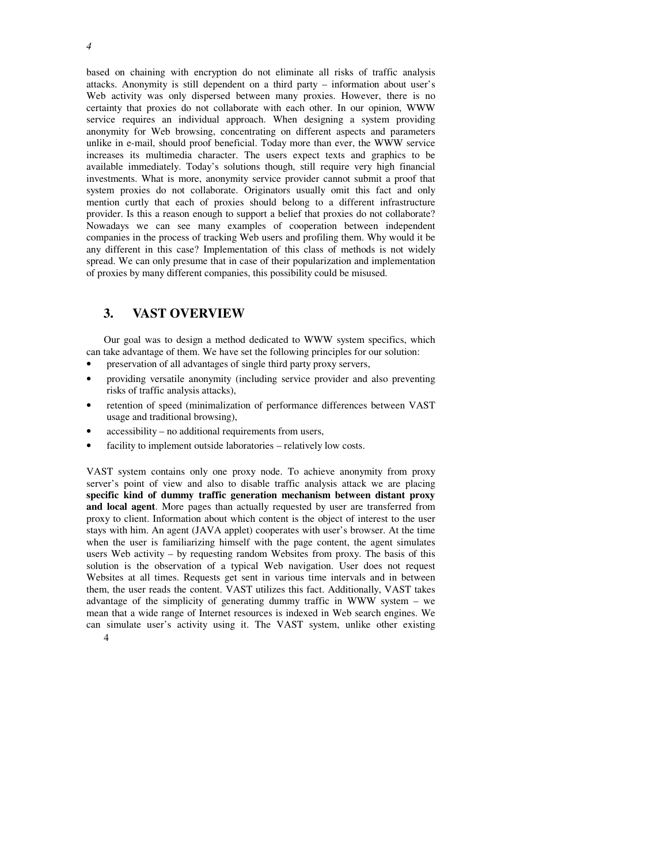based on chaining with encryption do not eliminate all risks of traffic analysis attacks. Anonymity is still dependent on a third party – information about user's Web activity was only dispersed between many proxies. However, there is no certainty that proxies do not collaborate with each other. In our opinion, WWW service requires an individual approach. When designing a system providing anonymity for Web browsing, concentrating on different aspects and parameters unlike in e-mail, should proof beneficial. Today more than ever, the WWW service increases its multimedia character. The users expect texts and graphics to be available immediately. Today's solutions though, still require very high financial investments. What is more, anonymity service provider cannot submit a proof that system proxies do not collaborate. Originators usually omit this fact and only mention curtly that each of proxies should belong to a different infrastructure provider. Is this a reason enough to support a belief that proxies do not collaborate? Nowadays we can see many examples of cooperation between independent companies in the process of tracking Web users and profiling them. Why would it be any different in this case? Implementation of this class of methods is not widely spread. We can only presume that in case of their popularization and implementation of proxies by many different companies, this possibility could be misused.

### **3. VAST OVERVIEW**

Our goal was to design a method dedicated to WWW system specifics, which can take advantage of them. We have set the following principles for our solution:

- preservation of all advantages of single third party proxy servers,
- providing versatile anonymity (including service provider and also preventing risks of traffic analysis attacks),
- retention of speed (minimalization of performance differences between VAST usage and traditional browsing),
- accessibility no additional requirements from users,
- facility to implement outside laboratories relatively low costs.

4 VAST system contains only one proxy node. To achieve anonymity from proxy server's point of view and also to disable traffic analysis attack we are placing **specific kind of dummy traffic generation mechanism between distant proxy and local agent**. More pages than actually requested by user are transferred from proxy to client. Information about which content is the object of interest to the user stays with him. An agent (JAVA applet) cooperates with user's browser. At the time when the user is familiarizing himself with the page content, the agent simulates users Web activity – by requesting random Websites from proxy. The basis of this solution is the observation of a typical Web navigation. User does not request Websites at all times. Requests get sent in various time intervals and in between them, the user reads the content. VAST utilizes this fact. Additionally, VAST takes advantage of the simplicity of generating dummy traffic in WWW system – we mean that a wide range of Internet resources is indexed in Web search engines. We can simulate user's activity using it. The VAST system, unlike other existing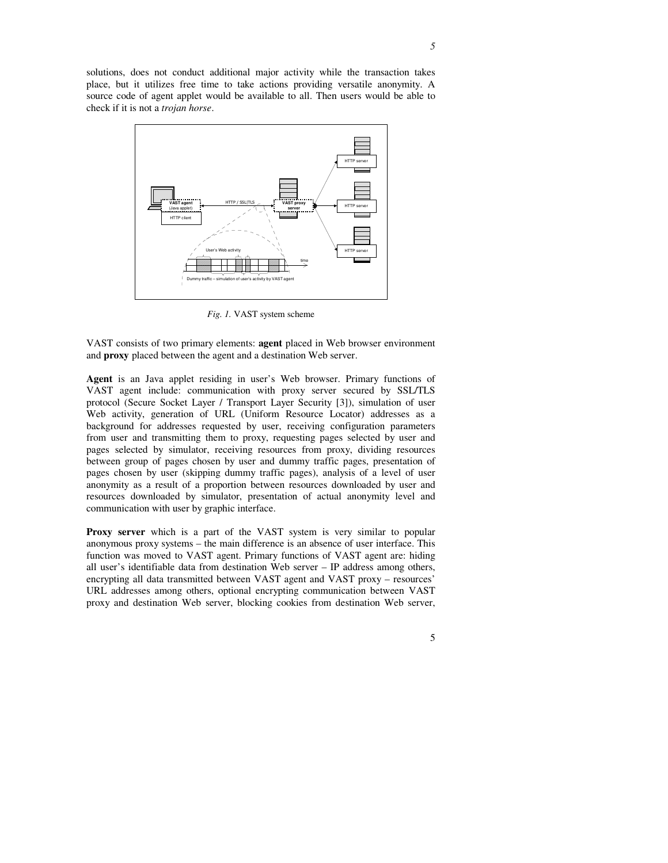solutions, does not conduct additional major activity while the transaction takes place, but it utilizes free time to take actions providing versatile anonymity. A source code of agent applet would be available to all. Then users would be able to check if it is not a *trojan horse*.



*Fig. 1.* VAST system scheme

VAST consists of two primary elements: **agent** placed in Web browser environment and **proxy** placed between the agent and a destination Web server.

**Agent** is an Java applet residing in user's Web browser. Primary functions of VAST agent include: communication with proxy server secured by SSL/TLS protocol (Secure Socket Layer / Transport Layer Security [3]), simulation of user Web activity, generation of URL (Uniform Resource Locator) addresses as a background for addresses requested by user, receiving configuration parameters from user and transmitting them to proxy, requesting pages selected by user and pages selected by simulator, receiving resources from proxy, dividing resources between group of pages chosen by user and dummy traffic pages, presentation of pages chosen by user (skipping dummy traffic pages), analysis of a level of user anonymity as a result of a proportion between resources downloaded by user and resources downloaded by simulator, presentation of actual anonymity level and communication with user by graphic interface.

**Proxy server** which is a part of the VAST system is very similar to popular anonymous proxy systems – the main difference is an absence of user interface. This function was moved to VAST agent. Primary functions of VAST agent are: hiding all user's identifiable data from destination Web server – IP address among others, encrypting all data transmitted between VAST agent and VAST proxy – resources' URL addresses among others, optional encrypting communication between VAST proxy and destination Web server, blocking cookies from destination Web server,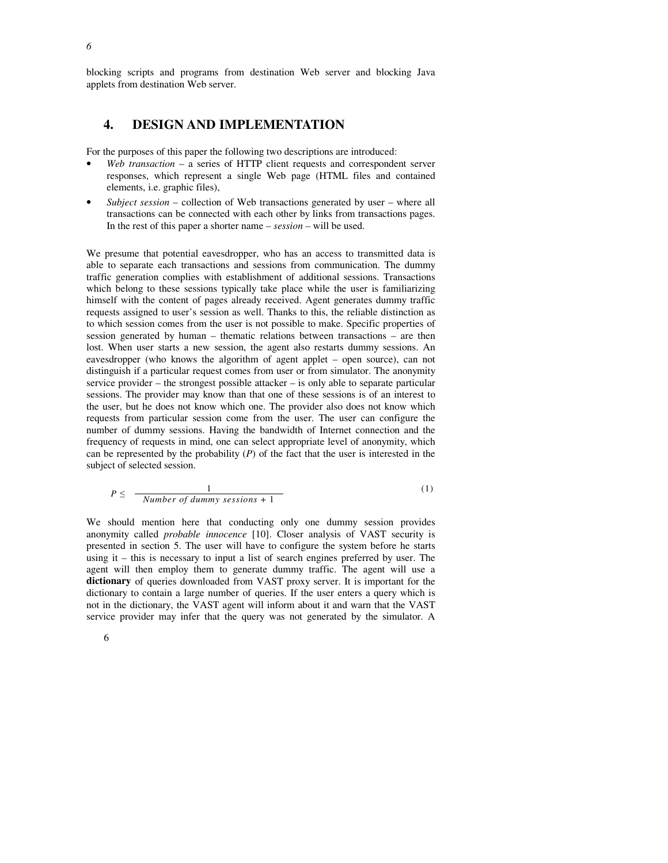blocking scripts and programs from destination Web server and blocking Java applets from destination Web server.

## **4. DESIGN AND IMPLEMENTATION**

For the purposes of this paper the following two descriptions are introduced:

- *Web transaction* a series of HTTP client requests and correspondent server responses, which represent a single Web page (HTML files and contained elements, i.e. graphic files),
- *Subject session* collection of Web transactions generated by user where all transactions can be connected with each other by links from transactions pages. In the rest of this paper a shorter name – *session* – will be used.

We presume that potential eavesdropper, who has an access to transmitted data is able to separate each transactions and sessions from communication. The dummy traffic generation complies with establishment of additional sessions. Transactions which belong to these sessions typically take place while the user is familiarizing himself with the content of pages already received. Agent generates dummy traffic requests assigned to user's session as well. Thanks to this, the reliable distinction as to which session comes from the user is not possible to make. Specific properties of session generated by human – thematic relations between transactions – are then lost. When user starts a new session, the agent also restarts dummy sessions. An eavesdropper (who knows the algorithm of agent applet – open source), can not distinguish if a particular request comes from user or from simulator. The anonymity service provider – the strongest possible attacker – is only able to separate particular sessions. The provider may know than that one of these sessions is of an interest to the user, but he does not know which one. The provider also does not know which requests from particular session come from the user. The user can configure the number of dummy sessions. Having the bandwidth of Internet connection and the frequency of requests in mind, one can select appropriate level of anonymity, which can be represented by the probability (*P*) of the fact that the user is interested in the subject of selected session.

$$
P \leq \frac{1}{\text{Number of dummy sessions} + 1} \tag{1}
$$

We should mention here that conducting only one dummy session provides anonymity called *probable innocence* [10]. Closer analysis of VAST security is presented in section 5. The user will have to configure the system before he starts using it – this is necessary to input a list of search engines preferred by user. The agent will then employ them to generate dummy traffic. The agent will use a **dictionary** of queries downloaded from VAST proxy server. It is important for the dictionary to contain a large number of queries. If the user enters a query which is not in the dictionary, the VAST agent will inform about it and warn that the VAST service provider may infer that the query was not generated by the simulator. A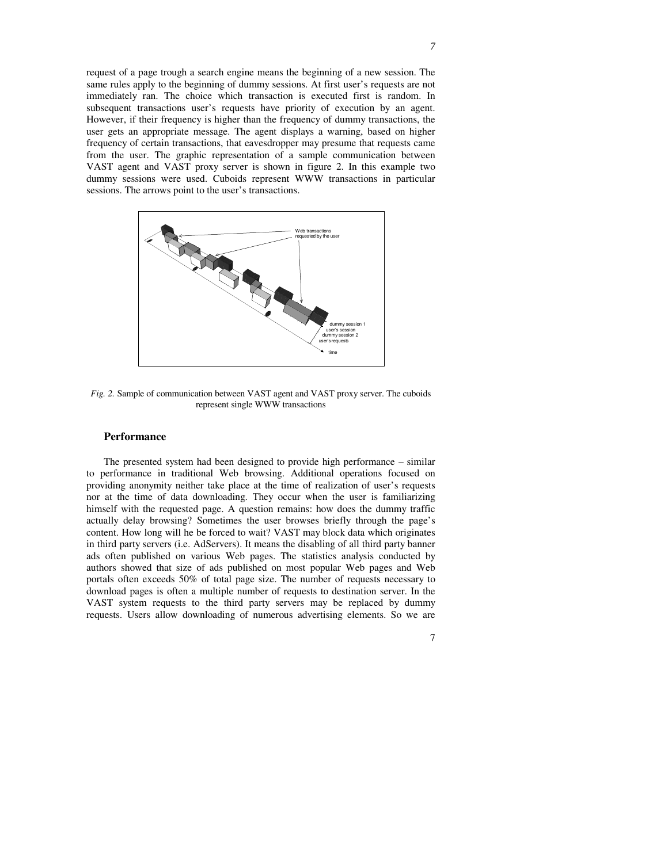request of a page trough a search engine means the beginning of a new session. The same rules apply to the beginning of dummy sessions. At first user's requests are not immediately ran. The choice which transaction is executed first is random. In subsequent transactions user's requests have priority of execution by an agent. However, if their frequency is higher than the frequency of dummy transactions, the user gets an appropriate message. The agent displays a warning, based on higher frequency of certain transactions, that eavesdropper may presume that requests came from the user. The graphic representation of a sample communication between VAST agent and VAST proxy server is shown in figure 2. In this example two dummy sessions were used. Cuboids represent WWW transactions in particular sessions. The arrows point to the user's transactions.



*Fig. 2.* Sample of communication between VAST agent and VAST proxy server. The cuboids represent single WWW transactions

#### **Performance**

The presented system had been designed to provide high performance – similar to performance in traditional Web browsing. Additional operations focused on providing anonymity neither take place at the time of realization of user's requests nor at the time of data downloading. They occur when the user is familiarizing himself with the requested page. A question remains: how does the dummy traffic actually delay browsing? Sometimes the user browses briefly through the page's content. How long will he be forced to wait? VAST may block data which originates in third party servers (i.e. AdServers). It means the disabling of all third party banner ads often published on various Web pages. The statistics analysis conducted by authors showed that size of ads published on most popular Web pages and Web portals often exceeds 50% of total page size. The number of requests necessary to download pages is often a multiple number of requests to destination server. In the VAST system requests to the third party servers may be replaced by dummy requests. Users allow downloading of numerous advertising elements. So we are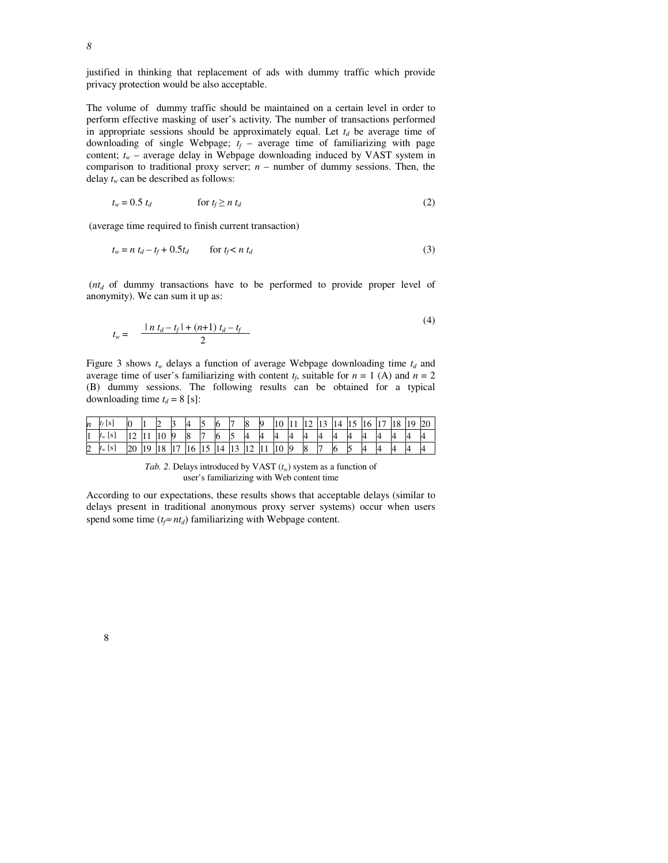justified in thinking that replacement of ads with dummy traffic which provide privacy protection would be also acceptable.

The volume of dummy traffic should be maintained on a certain level in order to perform effective masking of user's activity. The number of transactions performed in appropriate sessions should be approximately equal. Let  $t_d$  be average time of downloading of single Webpage;  $t_f$  – average time of familiarizing with page content;  $t_w$  – average delay in Webpage downloading induced by VAST system in comparison to traditional proxy server;  $n$  – number of dummy sessions. Then, the delay *t<sup>w</sup>* can be described as follows:

$$
t_w = 0.5 \ t_d \qquad \qquad \text{for } t_f \ge n \ t_d \tag{2}
$$

(average time required to finish current transaction)

$$
t_w = n \, t_d - t_f + 0.5t_d \qquad \text{for } t_f < n \, t_d \tag{3}
$$

(*nt<sup>d</sup>* of dummy transactions have to be performed to provide proper level of anonymity). We can sum it up as:

$$
t_w = \frac{\ln t_d - t_f + (n+1) t_d - t_f}{2} \tag{4}
$$

Figure 3 shows  $t_w$  delays a function of average Webpage downloading time  $t_d$  and average time of user's familiarizing with content  $t_f$ , suitable for  $n = 1$  (A) and  $n = 2$ (B) dummy sessions. The following results can be obtained for a typical downloading time  $t_d = 8$  [s]:

| $\boldsymbol{n}$ | $t_f$ S      |    |       |    |    |    |       | O |    |     |    | 10 | 11   | 12 13 | 14 | 15       | 16 | 17 18 19 |    | 20 |
|------------------|--------------|----|-------|----|----|----|-------|---|----|-----|----|----|------|-------|----|----------|----|----------|----|----|
|                  | $t_w$<br>[S] |    |       | 10 | lQ |    |       | ю |    |     |    | 4  |      |       |    | $\Delta$ |    | 14       | 14 |    |
| 12               | $t_w$ [S]    | 20 | 19 18 |    | 17 | 16 | 15 14 |   | 13 | 112 | 11 | 10 | - 19 |       |    | v        |    | 14       | 14 |    |

*Tab. 2*. Delays introduced by VAST (*tw*) system as a function of user's familiarizing with Web content time

According to our expectations, these results shows that acceptable delays (similar to delays present in traditional anonymous proxy server systems) occur when users spend some time  $(t_f \approx nt_d)$  familiarizing with Webpage content.

8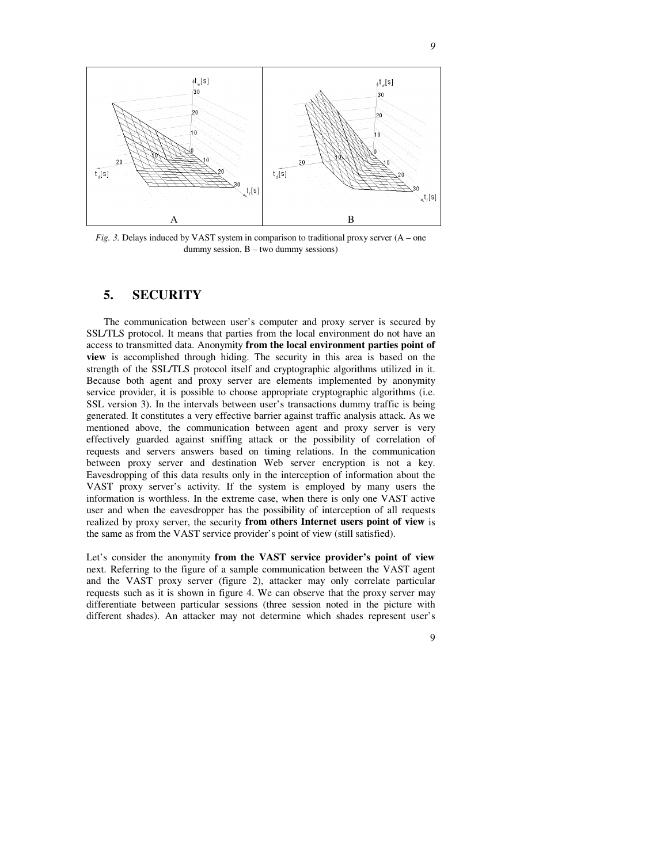

*Fig. 3.* Delays induced by VAST system in comparison to traditional proxy server (A – one dummy session, B – two dummy sessions)

# **5. SECURITY**

The communication between user's computer and proxy server is secured by SSL/TLS protocol. It means that parties from the local environment do not have an access to transmitted data. Anonymity **from the local environment parties point of view** is accomplished through hiding. The security in this area is based on the strength of the SSL/TLS protocol itself and cryptographic algorithms utilized in it. Because both agent and proxy server are elements implemented by anonymity service provider, it is possible to choose appropriate cryptographic algorithms (i.e. SSL version 3). In the intervals between user's transactions dummy traffic is being generated. It constitutes a very effective barrier against traffic analysis attack. As we mentioned above, the communication between agent and proxy server is very effectively guarded against sniffing attack or the possibility of correlation of requests and servers answers based on timing relations. In the communication between proxy server and destination Web server encryption is not a key. Eavesdropping of this data results only in the interception of information about the VAST proxy server's activity. If the system is employed by many users the information is worthless. In the extreme case, when there is only one VAST active user and when the eavesdropper has the possibility of interception of all requests realized by proxy server, the security **from others Internet users point of view** is the same as from the VAST service provider's point of view (still satisfied).

Let's consider the anonymity **from the VAST service provider's point of view** next. Referring to the figure of a sample communication between the VAST agent and the VAST proxy server (figure 2), attacker may only correlate particular requests such as it is shown in figure 4. We can observe that the proxy server may differentiate between particular sessions (three session noted in the picture with different shades). An attacker may not determine which shades represent user's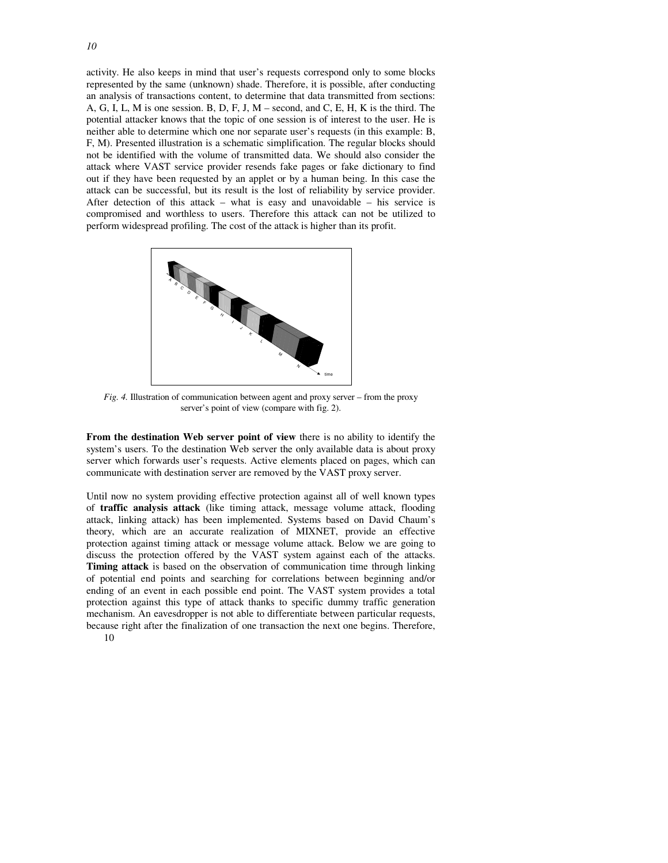activity. He also keeps in mind that user's requests correspond only to some blocks represented by the same (unknown) shade. Therefore, it is possible, after conducting an analysis of transactions content, to determine that data transmitted from sections: A, G, I, L, M is one session. B, D, F, J, M – second, and C, E, H, K is the third. The potential attacker knows that the topic of one session is of interest to the user. He is neither able to determine which one nor separate user's requests (in this example: B, F, M). Presented illustration is a schematic simplification. The regular blocks should not be identified with the volume of transmitted data. We should also consider the attack where VAST service provider resends fake pages or fake dictionary to find out if they have been requested by an applet or by a human being. In this case the attack can be successful, but its result is the lost of reliability by service provider. After detection of this attack – what is easy and unavoidable – his service is compromised and worthless to users. Therefore this attack can not be utilized to perform widespread profiling. The cost of the attack is higher than its profit.



*Fig. 4.* Illustration of communication between agent and proxy server – from the proxy server's point of view (compare with fig. 2).

**From the destination Web server point of view** there is no ability to identify the system's users. To the destination Web server the only available data is about proxy server which forwards user's requests. Active elements placed on pages, which can communicate with destination server are removed by the VAST proxy server.

10 Until now no system providing effective protection against all of well known types of **traffic analysis attack** (like timing attack, message volume attack, flooding attack, linking attack) has been implemented. Systems based on David Chaum's theory, which are an accurate realization of MIXNET, provide an effective protection against timing attack or message volume attack. Below we are going to discuss the protection offered by the VAST system against each of the attacks. **Timing attack** is based on the observation of communication time through linking of potential end points and searching for correlations between beginning and/or ending of an event in each possible end point. The VAST system provides a total protection against this type of attack thanks to specific dummy traffic generation mechanism. An eavesdropper is not able to differentiate between particular requests, because right after the finalization of one transaction the next one begins. Therefore,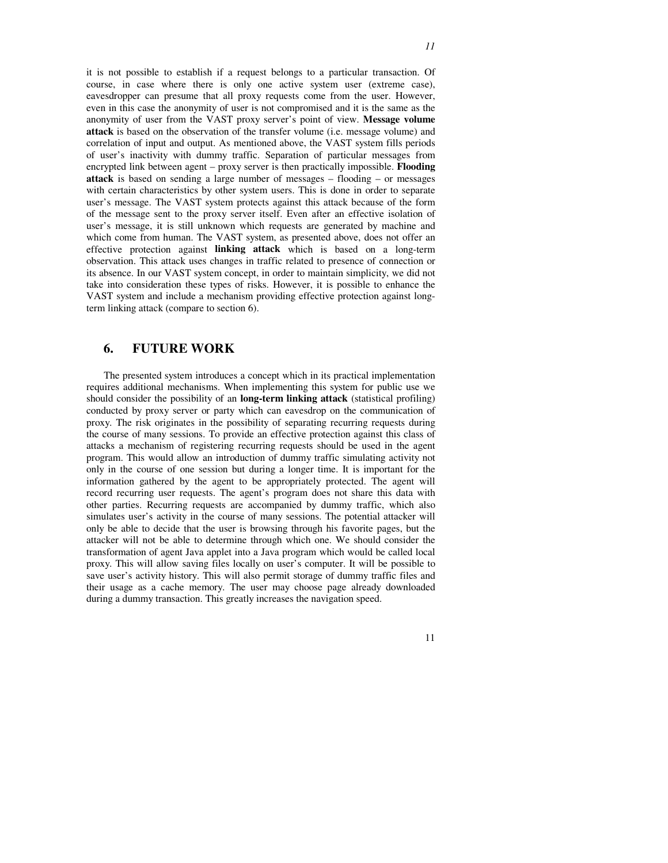it is not possible to establish if a request belongs to a particular transaction. Of course, in case where there is only one active system user (extreme case), eavesdropper can presume that all proxy requests come from the user. However, even in this case the anonymity of user is not compromised and it is the same as the anonymity of user from the VAST proxy server's point of view. **Message volume attack** is based on the observation of the transfer volume (i.e. message volume) and correlation of input and output. As mentioned above, the VAST system fills periods of user's inactivity with dummy traffic. Separation of particular messages from encrypted link between agent – proxy server is then practically impossible. **Flooding attack** is based on sending a large number of messages – flooding – or messages with certain characteristics by other system users. This is done in order to separate user's message. The VAST system protects against this attack because of the form of the message sent to the proxy server itself. Even after an effective isolation of user's message, it is still unknown which requests are generated by machine and which come from human. The VAST system, as presented above, does not offer an effective protection against **linking attack** which is based on a long-term observation. This attack uses changes in traffic related to presence of connection or its absence. In our VAST system concept, in order to maintain simplicity, we did not take into consideration these types of risks. However, it is possible to enhance the VAST system and include a mechanism providing effective protection against longterm linking attack (compare to section 6).

### **6. FUTURE WORK**

The presented system introduces a concept which in its practical implementation requires additional mechanisms. When implementing this system for public use we should consider the possibility of an **long-term linking attack** (statistical profiling) conducted by proxy server or party which can eavesdrop on the communication of proxy. The risk originates in the possibility of separating recurring requests during the course of many sessions. To provide an effective protection against this class of attacks a mechanism of registering recurring requests should be used in the agent program. This would allow an introduction of dummy traffic simulating activity not only in the course of one session but during a longer time. It is important for the information gathered by the agent to be appropriately protected. The agent will record recurring user requests. The agent's program does not share this data with other parties. Recurring requests are accompanied by dummy traffic, which also simulates user's activity in the course of many sessions. The potential attacker will only be able to decide that the user is browsing through his favorite pages, but the attacker will not be able to determine through which one. We should consider the transformation of agent Java applet into a Java program which would be called local proxy. This will allow saving files locally on user's computer. It will be possible to save user's activity history. This will also permit storage of dummy traffic files and their usage as a cache memory. The user may choose page already downloaded during a dummy transaction. This greatly increases the navigation speed.